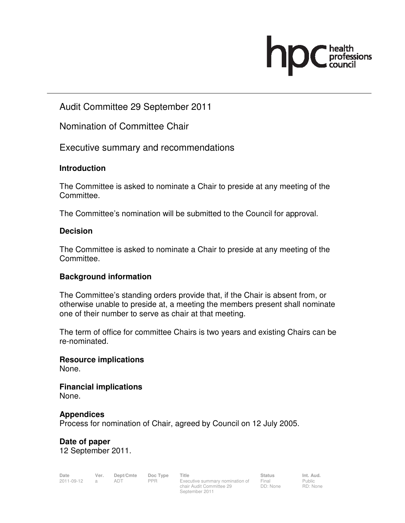

Audit Committee 29 September 2011

Nomination of Committee Chair

Executive summary and recommendations

# **Introduction**

The Committee is asked to nominate a Chair to preside at any meeting of the Committee.

The Committee's nomination will be submitted to the Council for approval.

### **Decision**

The Committee is asked to nominate a Chair to preside at any meeting of the Committee.

# **Background information**

The Committee's standing orders provide that, if the Chair is absent from, or otherwise unable to preside at, a meeting the members present shall nominate one of their number to serve as chair at that meeting.

The term of office for committee Chairs is two years and existing Chairs can be re-nominated.

**Resource implications**  None.

**Financial implications**  None.

#### **Appendices**

Process for nomination of Chair, agreed by Council on 12 July 2005.

**Date of paper**  12 September 2011.

| Date       | Ver. | Dept/Cmte Doc Type Title |     |                                     | <b>Status</b> | Int. Aud.   |
|------------|------|--------------------------|-----|-------------------------------------|---------------|-------------|
| 2011-09-12 |      | ADT                      | PPR | Executive summary nomination of     | Final         | Public      |
|            |      |                          |     | $\cdots$ $\cdots$ $\cdots$ $\cdots$ | $\Box \Box$   | $\Box \Box$ |

Executive summary nomination of chair Audit Committee 29 September 2011

Public RD: None